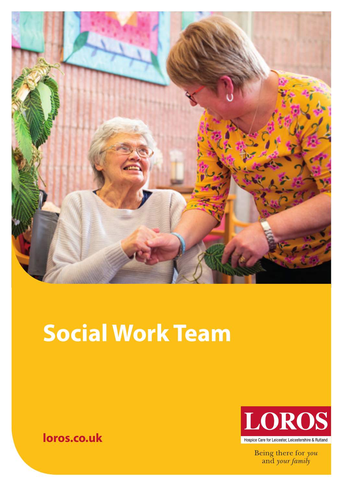

# **Social Work Team**





Being there for you and your family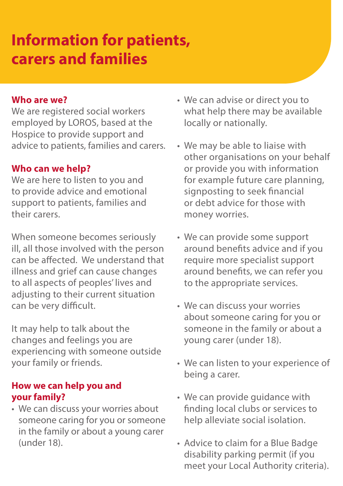## **Information for patients, carers and families**

#### **Who are we?**

We are registered social workers employed by LOROS, based at the Hospice to provide support and advice to patients, families and carers.

#### **Who can we help?**

We are here to listen to you and to provide advice and emotional support to patients, families and their carers.

When someone becomes seriously ill, all those involved with the person can be affected. We understand that illness and grief can cause changes to all aspects of peoples' lives and adjusting to their current situation can be very difficult.

It may help to talk about the changes and feelings you are experiencing with someone outside your family or friends.

#### **How we can help you and your family?**

• We can discuss your worries about someone caring for you or someone in the family or about a young carer (under 18).

- We can advise or direct you to what help there may be available locally or nationally.
- We may be able to liaise with other organisations on your behalf or provide you with information for example future care planning, signposting to seek financial or debt advice for those with money worries.
- We can provide some support around benefits advice and if you require more specialist support around benefits, we can refer you to the appropriate services.
- We can discuss your worries about someone caring for you or someone in the family or about a young carer (under 18).
- We can listen to your experience of being a carer.
- We can provide guidance with finding local clubs or services to help alleviate social isolation.
- Advice to claim for a Blue Badge disability parking permit (if you meet your Local Authority criteria).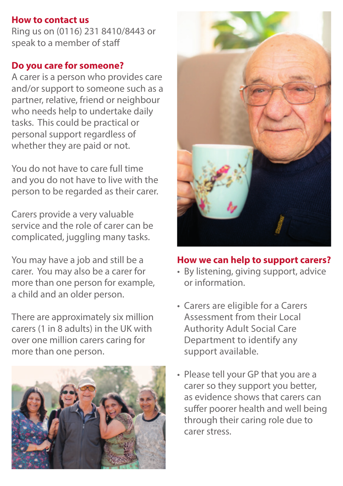#### **How to contact us**

Ring us on (0116) 231 8410/8443 or speak to a member of staff

#### **Do you care for someone?**

A carer is a person who provides care and/or support to someone such as a partner, relative, friend or neighbour who needs help to undertake daily tasks. This could be practical or personal support regardless of whether they are paid or not.

You do not have to care full time and you do not have to live with the person to be regarded as their carer.

Carers provide a very valuable service and the role of carer can be complicated, juggling many tasks.

You may have a job and still be a carer. You may also be a carer for more than one person for example, a child and an older person.

There are approximately six million carers (1 in 8 adults) in the UK with over one million carers caring for more than one person.





#### **How we can help to support carers?**

- By listening, giving support, advice or information.
- Carers are eligible for a Carers Assessment from their Local Authority Adult Social Care Department to identify any support available.
- Please tell your GP that you are a carer so they support you better, as evidence shows that carers can suffer poorer health and well being through their caring role due to carer stress.